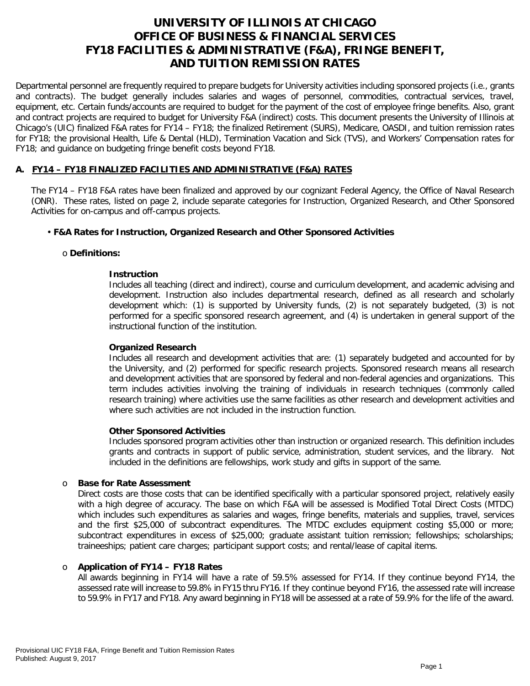# **UNIVERSITY OF ILLINOIS AT CHICAGO OFFICE OF BUSINESS & FINANCIAL SERVICES FY18 FACILITIES & ADMINISTRATIVE (F&A), FRINGE BENEFIT, AND TUITION REMISSION RATES**

Departmental personnel are frequently required to prepare budgets for University activities including sponsored projects (i.e., grants and contracts). The budget generally includes salaries and wages of personnel, commodities, contractual services, travel, equipment, etc. Certain funds/accounts are required to budget for the payment of the cost of employee fringe benefits. Also, grant and contract projects are required to budget for University F&A (indirect) costs. This document presents the University of Illinois at Chicago's (UIC) finalized F&A rates for FY14 – FY18; the finalized Retirement (SURS), Medicare, OASDI, and tuition remission rates for FY18; the provisional Health, Life & Dental (HLD), Termination Vacation and Sick (TVS), and Workers' Compensation rates for FY18; and guidance on budgeting fringe benefit costs beyond FY18.

### **A. FY14 – FY18 FINALIZED FACILITIES AND ADMINISTRATIVE (F&A) RATES**

The FY14 – FY18 F&A rates have been finalized and approved by our cognizant Federal Agency, the Office of Naval Research (ONR). These rates, listed on page 2, include separate categories for Instruction, Organized Research, and Other Sponsored Activities for on-campus and off-campus projects.

### • **F&A Rates for Instruction, Organized Research and Other Sponsored Activities**

### o **Definitions:**

### **Instruction**

Includes all teaching (direct and indirect), course and curriculum development, and academic advising and development. Instruction also includes departmental research, defined as all research and scholarly development which: (1) is supported by University funds, (2) is not separately budgeted, (3) is not performed for a specific sponsored research agreement, and (4) is undertaken in general support of the instructional function of the institution.

### **Organized Research**

Includes all research and development activities that are: (1) separately budgeted and accounted for by the University, and (2) performed for specific research projects. Sponsored research means all research and development activities that are sponsored by federal and non-federal agencies and organizations. This term includes activities involving the training of individuals in research techniques (commonly called research training) where activities use the same facilities as other research and development activities and where such activities are not included in the instruction function.

### **Other Sponsored Activities**

Includes sponsored program activities other than instruction or organized research. This definition includes grants and contracts in support of public service, administration, student services, and the library. Not included in the definitions are fellowships, work study and gifts in support of the same.

#### o **Base for Rate Assessment**

Direct costs are those costs that can be identified specifically with a particular sponsored project, relatively easily with a high degree of accuracy. The base on which F&A will be assessed is Modified Total Direct Costs (MTDC) which includes such expenditures as salaries and wages, fringe benefits, materials and supplies, travel, services and the first \$25,000 of subcontract expenditures. The MTDC excludes equipment costing \$5,000 or more; subcontract expenditures in excess of \$25,000; graduate assistant tuition remission; fellowships; scholarships; traineeships; patient care charges; participant support costs; and rental/lease of capital items.

### o **Application of FY14 – FY18 Rates**

All awards beginning in FY14 will have a rate of 59.5% assessed for FY14. If they continue beyond FY14, the assessed rate will increase to 59.8% in FY15 thru FY16. If they continue beyond FY16, the assessed rate will increase to 59.9% in FY17 and FY18. Any award beginning in FY18 will be assessed at a rate of 59.9% for the life of the award.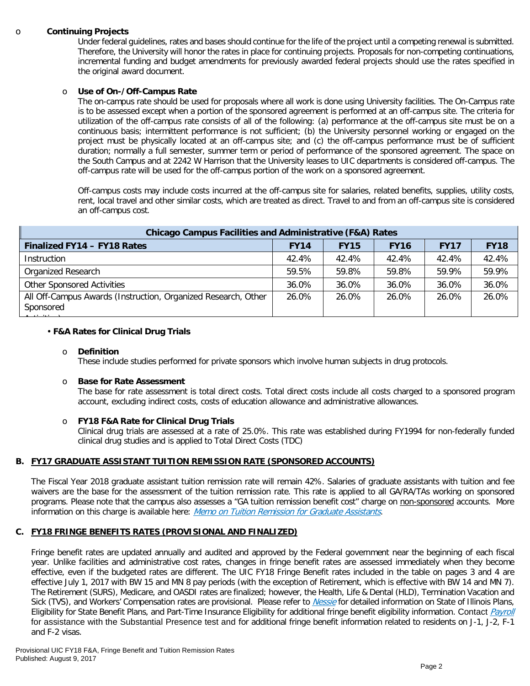#### o **Continuing Projects**

Under federal guidelines, rates and bases should continue for the life of the project until a competing renewal is submitted. Therefore, the University will honor the rates in place for continuing projects. Proposals for non-competing continuations, incremental funding and budget amendments for previously awarded federal projects should use the rates specified in the original award document.

#### o **Use of On-/Off-Campus Rate**

The on-campus rate should be used for proposals where all work is done using University facilities. The On-Campus rate is to be assessed except when a portion of the sponsored agreement is performed at an off-campus site. The criteria for utilization of the off-campus rate consists of all of the following: (a) performance at the off-campus site must be on a continuous basis; intermittent performance is not sufficient; (b) the University personnel working or engaged on the project must be physically located at an off-campus site; and (c) the off-campus performance must be of sufficient duration; normally a full semester, summer term or period of performance of the sponsored agreement. The space on the South Campus and at 2242 W Harrison that the University leases to UIC departments is considered off-campus. The off-campus rate will be used for the off-campus portion of the work on a sponsored agreement.

Off-campus costs may include costs incurred at the off-campus site for salaries, related benefits, supplies, utility costs, rent, local travel and other similar costs, which are treated as direct. Travel to and from an off-campus site is considered an off-campus cost.

| <b>Chicago Campus Facilities and Administrative (F&amp;A) Rates</b>        |             |             |             |             |             |  |  |
|----------------------------------------------------------------------------|-------------|-------------|-------------|-------------|-------------|--|--|
| Finalized FY14 - FY18 Rates                                                | <b>FY14</b> | <b>FY15</b> | <b>FY16</b> | <b>FY17</b> | <b>FY18</b> |  |  |
| Instruction                                                                | 42.4%       | 42.4%       | 42.4%       | 42.4%       | 42.4%       |  |  |
| Organized Research                                                         | 59.5%       | 59.8%       | 59.8%       | 59.9%       | 59.9%       |  |  |
| <b>Other Sponsored Activities</b>                                          | 36.0%       | 36.0%       | 36.0%       | 36.0%       | 36.0%       |  |  |
| All Off-Campus Awards (Instruction, Organized Research, Other<br>Sponsored | 26.0%       | 26.0%       | 26.0%       | 26.0%       | 26.0%       |  |  |

#### • **F&A Rates for Clinical Drug Trials**

#### o **Definition**

These include studies performed for private sponsors which involve human subjects in drug protocols.

#### o **Base for Rate Assessment**

The base for rate assessment is total direct costs. Total direct costs include all costs charged to a sponsored program account, excluding indirect costs, costs of education allowance and administrative allowances.

#### o **FY18 F&A Rate for Clinical Drug Trials**

Clinical drug trials are assessed at a rate of 25.0%. This rate was established during FY1994 for non-federally funded clinical drug studies and is applied to Total Direct Costs (TDC)

#### **B. FY17 GRADUATE ASSISTANT TUITION REMISSION RATE (SPONSORED ACCOUNTS)**

The Fiscal Year 2018 graduate assistant tuition remission rate will remain 42%. Salaries of graduate assistants with tuition and fee waivers are the base for the assessment of the tuition remission rate. This rate is applied to all GA/RA/TAs working on sponsored programs. Please note that the campus also assesses a "GA tuition remission benefit cost" charge on non-sponsored accounts. More information on this charge is available here: [Memo on Tuition Remission for Graduate Assistants](https://www.obfs.uillinois.edu/common/pages/DisplayFile.aspx?itemId=436386).

#### **C. FY18 FRINGE BENEFITS RATES (PROVISIONAL AND FINALIZED)**

Fringe benefit rates are updated annually and audited and approved by the Federal government near the beginning of each fiscal year. Unlike facilities and administrative cost rates, changes in fringe benefit rates are assessed immediately when they become effective, even if the budgeted rates are different. The UIC FY18 Fringe Benefit rates included in the table on pages 3 and 4 are effective July 1, 2017 with BW 15 and MN 8 pay periods (with the exception of Retirement, which is effective with BW 14 and MN 7). The Retirement (SURS), Medicare, and OASDI rates are finalized; however, the Health, Life & Dental (HLD), Termination Vacation and Sick (TVS), and Workers' Compensation rates are provisional. Please refer to *[Nessie](https://www.hr.uillinois.edu/benefits/)* for detailed information on State of Illinois Plans, Eligibility for State Benefit Plans, and Part-Time Insurance Eligibility for additional fringe benefit eligibility information. Contact *[Payroll](http://www.obfs.uillinois.edu/payroll/customer-service/)* for assistance with the Substantial Presence test and for additional fringe benefit information related to residents on J-1, J-2, F-1 and F-2 visas.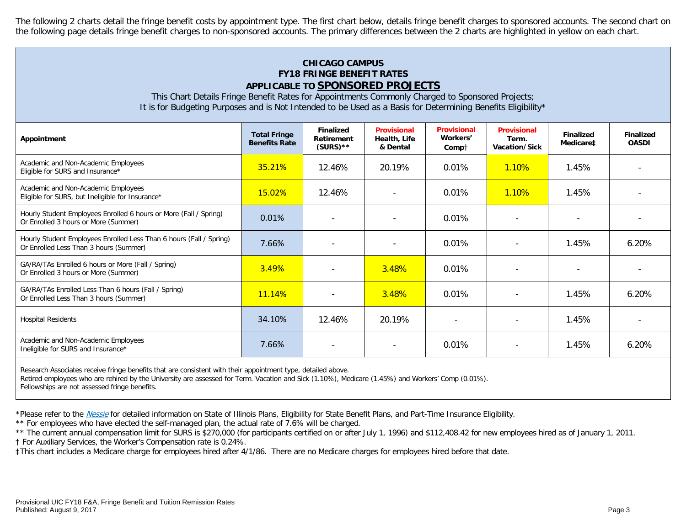The following 2 charts detail the fringe benefit costs by appointment type. The first chart below, details fringe benefit charges to sponsored accounts. The second chart on the following page details fringe benefit charges to non-sponsored accounts. The primary differences between the 2 charts are highlighted in yellow on each chart.

# **CHICAGO CAMPUS FY18 FRINGE BENEFIT RATES APPLICABLE TO SPONSORED PROJECTS**

This Chart Details Fringe Benefit Rates for Appointments Commonly Charged to Sponsored Projects; It is for Budgeting Purposes and is Not Intended to be Used as a Basis for Determining Benefits Eligibility\*

| Appointment                                                                                                   | <b>Total Fringe</b><br><b>Benefits Rate</b> | <b>Finalized</b><br>Retirement<br>$(SURS)$ ** | <b>Provisional</b><br>Health, Life<br>& Dental | <b>Provisional</b><br>Workers'<br>Compt | <b>Provisional</b><br>Term.<br>Vacation/Sick | <b>Finalized</b><br>Medicare <sup>#</sup> | <b>Finalized</b><br><b>OASDI</b> |
|---------------------------------------------------------------------------------------------------------------|---------------------------------------------|-----------------------------------------------|------------------------------------------------|-----------------------------------------|----------------------------------------------|-------------------------------------------|----------------------------------|
| Academic and Non-Academic Employees<br>Eligible for SURS and Insurance*                                       | 35.21%                                      | 12.46%                                        | 20.19%                                         | 0.01%                                   | <b>1.10%</b>                                 | 1.45%                                     |                                  |
| Academic and Non-Academic Employees<br>Eligible for SURS, but Ineligible for Insurance*                       | 15.02%                                      | 12.46%                                        |                                                | 0.01%                                   | <b>1.10%</b>                                 | 1.45%                                     |                                  |
| Hourly Student Employees Enrolled 6 hours or More (Fall / Spring)<br>Or Enrolled 3 hours or More (Summer)     | 0.01%                                       |                                               | $\overline{\phantom{a}}$                       | 0.01%                                   |                                              |                                           |                                  |
| Hourly Student Employees Enrolled Less Than 6 hours (Fall / Spring)<br>Or Enrolled Less Than 3 hours (Summer) | 7.66%                                       | $\overline{\phantom{0}}$                      |                                                | 0.01%                                   |                                              | 1.45%                                     | 6.20%                            |
| GA/RA/TAs Enrolled 6 hours or More (Fall / Spring)<br>Or Enrolled 3 hours or More (Summer)                    | 3.49%                                       |                                               | 3.48%                                          | 0.01%                                   | $\overline{\phantom{a}}$                     |                                           |                                  |
| GA/RA/TAs Enrolled Less Than 6 hours (Fall / Spring)<br>Or Enrolled Less Than 3 hours (Summer)                | 11.14%                                      |                                               | 3.48%                                          | 0.01%                                   |                                              | 1.45%                                     | 6.20%                            |
| <b>Hospital Residents</b>                                                                                     | 34.10%                                      | 12.46%                                        | 20.19%                                         |                                         |                                              | 1.45%                                     |                                  |
| Academic and Non-Academic Employees<br>Ineligible for SURS and Insurance*                                     | 7.66%                                       | $\overline{\phantom{a}}$                      |                                                | 0.01%                                   |                                              | 1.45%                                     | 6.20%                            |

Research Associates receive fringe benefits that are consistent with their appointment type, detailed above.

Retired employees who are rehired by the University are assessed for Term. Vacation and Sick (1.10%), Medicare (1.45%) and Workers' Comp (0.01%).

Fellowships are not assessed fringe benefits.

\*Please refer to the [Nessie](https://www.hr.uillinois.edu/benefits/) for detailed information on State of Illinois Plans, Eligibility for State Benefit Plans, and Part-Time Insurance Eligibility.

\*\* For employees who have elected the self-managed plan, the actual rate of 7.6% will be charged.

\*\* The current annual compensation limit for SURS is \$270,000 (for participants certified on or after July 1, 1996) and \$112,408.42 for new employees hired as of January 1, 2011.

† For Auxiliary Services, the Worker's Compensation rate is 0.24%.

‡This chart includes a Medicare charge for employees hired after 4/1/86. There are no Medicare charges for employees hired before that date.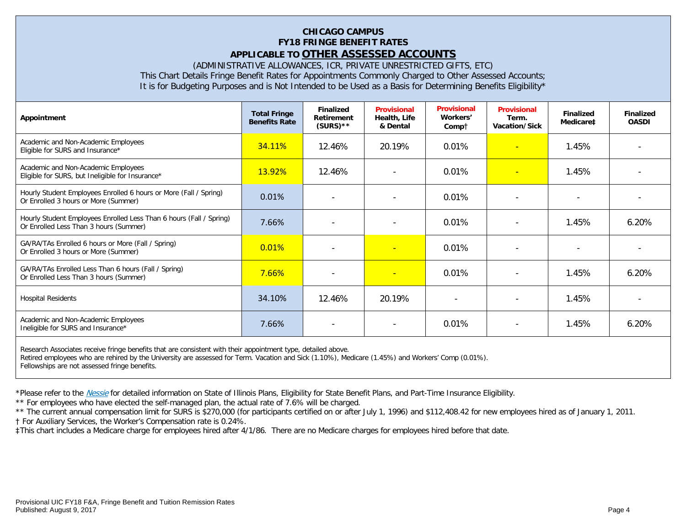# **CHICAGO CAMPUS FY18 FRINGE BENEFIT RATES APPLICABLE TO OTHER ASSESSED ACCOUNTS**

(ADMINISTRATIVE ALLOWANCES, ICR, PRIVATE UNRESTRICTED GIFTS, ETC)

This Chart Details Fringe Benefit Rates for Appointments Commonly Charged to Other Assessed Accounts;

It is for Budgeting Purposes and is Not Intended to be Used as a Basis for Determining Benefits Eligibility\*

| Appointment                                                                                                   | <b>Total Fringe</b><br><b>Benefits Rate</b> | <b>Finalized</b><br><b>Retirement</b><br>$(SURS)$ ** | <b>Provisional</b><br>Health, Life<br>& Dental | <b>Provisional</b><br>Workers'<br>Compt | <b>Provisional</b><br>Term.<br>Vacation/Sick | <b>Finalized</b><br>Medicare‡ | <b>Finalized</b><br><b>OASDI</b> |
|---------------------------------------------------------------------------------------------------------------|---------------------------------------------|------------------------------------------------------|------------------------------------------------|-----------------------------------------|----------------------------------------------|-------------------------------|----------------------------------|
| Academic and Non-Academic Employees<br>Eligible for SURS and Insurance*                                       | 34.11%                                      | 12.46%                                               | 20.19%                                         | 0.01%                                   |                                              | 1.45%                         |                                  |
| Academic and Non-Academic Employees<br>Eligible for SURS, but Ineligible for Insurance*                       | <b>13.92%</b>                               | 12.46%                                               | $\overline{\phantom{0}}$                       | 0.01%                                   | $\overline{\phantom{0}}$                     | 1.45%                         |                                  |
| Hourly Student Employees Enrolled 6 hours or More (Fall / Spring)<br>Or Enrolled 3 hours or More (Summer)     | 0.01%                                       |                                                      |                                                | 0.01%                                   |                                              |                               |                                  |
| Hourly Student Employees Enrolled Less Than 6 hours (Fall / Spring)<br>Or Enrolled Less Than 3 hours (Summer) | 7.66%                                       |                                                      | $\overline{\phantom{0}}$                       | 0.01%                                   |                                              | 1.45%                         | 6.20%                            |
| GA/RA/TAs Enrolled 6 hours or More (Fall / Spring)<br>Or Enrolled 3 hours or More (Summer)                    | 0.01%                                       |                                                      | н                                              | 0.01%                                   |                                              |                               |                                  |
| GA/RA/TAs Enrolled Less Than 6 hours (Fall / Spring)<br>Or Enrolled Less Than 3 hours (Summer)                | 7.66%                                       |                                                      | н                                              | 0.01%                                   |                                              | 1.45%                         | 6.20%                            |
| <b>Hospital Residents</b>                                                                                     | 34.10%                                      | 12.46%                                               | 20.19%                                         | $\overline{\phantom{0}}$                |                                              | 1.45%                         |                                  |
| Academic and Non-Academic Employees<br>Ineligible for SURS and Insurance*                                     | 7.66%                                       | $\blacksquare$                                       | $\overline{\phantom{a}}$                       | 0.01%                                   |                                              | 1.45%                         | 6.20%                            |
| Decearch Accoriates resolve fringe benefits that are consistent with their eppeintment type, detailed above   |                                             |                                                      |                                                |                                         |                                              |                               |                                  |

Research Associates receive fringe benefits that are consistent with their appointment type, detailed above. Retired employees who are rehired by the University are assessed for Term. Vacation and Sick (1.10%), Medicare (1.45%) and Workers' Comp (0.01%). Fellowships are not assessed fringe benefits.

\*Please refer to the [Nessie](https://www.hr.uillinois.edu/benefits/) for detailed information on State of Illinois Plans, Eligibility for State Benefit Plans, and Part-Time Insurance Eligibility.

\*\* For employees who have elected the self-managed plan, the actual rate of 7.6% will be charged.

\*\* The current annual compensation limit for SURS is \$270,000 (for participants certified on or after July 1, 1996) and \$112,408.42 for new employees hired as of January 1, 2011.

† For Auxiliary Services, the Worker's Compensation rate is 0.24%.

‡This chart includes a Medicare charge for employees hired after 4/1/86. There are no Medicare charges for employees hired before that date.